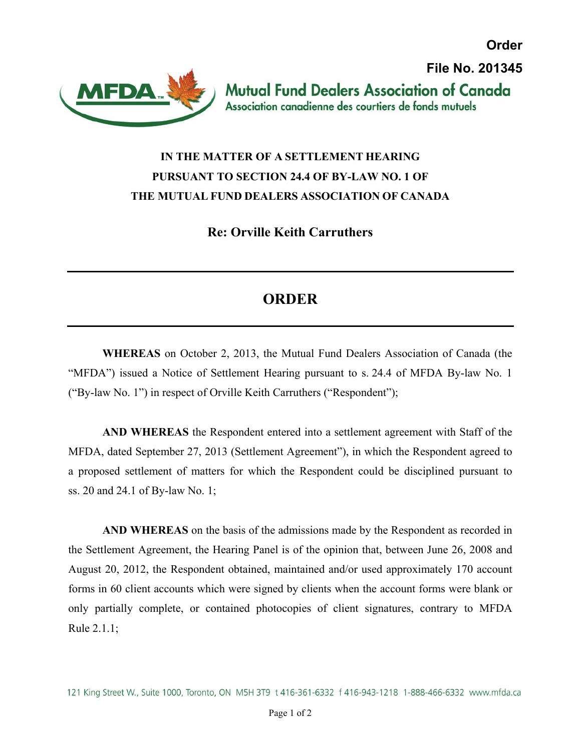**Order File No. 201345Mutual Fund Dealers Association of Canada** 



## Association canadienne des courtiers de fonds mutuels

## **IN THE MATTER OF A SETTLEMENT HEARING PURSUANT TO SECTION 24.4 OF BY-LAW NO. 1 OF THE MUTUAL FUND DEALERS ASSOCIATION OF CANADA**

**Re: Orville Keith Carruthers** 

## **ORDER**

**WHEREAS** on October 2, 2013, the Mutual Fund Dealers Association of Canada (the "MFDA") issued a Notice of Settlement Hearing pursuant to s. 24.4 of MFDA By-law No. 1 ("By-law No. 1") in respect of Orville Keith Carruthers ("Respondent");

**AND WHEREAS** the Respondent entered into a settlement agreement with Staff of the MFDA, dated September 27, 2013 (Settlement Agreement"), in which the Respondent agreed to a proposed settlement of matters for which the Respondent could be disciplined pursuant to ss. 20 and 24.1 of By-law No. 1;

**AND WHEREAS** on the basis of the admissions made by the Respondent as recorded in the Settlement Agreement, the Hearing Panel is of the opinion that, between June 26, 2008 and August 20, 2012, the Respondent obtained, maintained and/or used approximately 170 account forms in 60 client accounts which were signed by clients when the account forms were blank or only partially complete, or contained photocopies of client signatures, contrary to MFDA Rule 2.1.1;